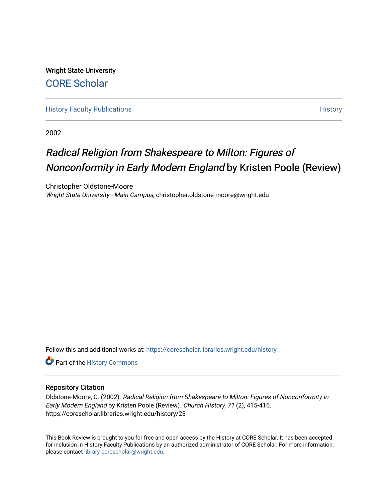Wright State University [CORE Scholar](https://corescholar.libraries.wright.edu/)

[History Faculty Publications](https://corescholar.libraries.wright.edu/history) **History** History

2002

## Radical Religion from Shakespeare to Milton: Figures of Nonconformity in Early Modern England by Kristen Poole (Review)

Christopher Oldstone-Moore Wright State University - Main Campus, christopher.oldstone-moore@wright.edu

Follow this and additional works at: [https://corescholar.libraries.wright.edu/history](https://corescholar.libraries.wright.edu/history?utm_source=corescholar.libraries.wright.edu%2Fhistory%2F23&utm_medium=PDF&utm_campaign=PDFCoverPages) 

Part of the [History Commons](http://network.bepress.com/hgg/discipline/489?utm_source=corescholar.libraries.wright.edu%2Fhistory%2F23&utm_medium=PDF&utm_campaign=PDFCoverPages) 

## Repository Citation

Oldstone-Moore, C. (2002). Radical Religion from Shakespeare to Milton: Figures of Nonconformity in Early Modern England by Kristen Poole (Review). Church History, 71 (2), 415-416. https://corescholar.libraries.wright.edu/history/23

This Book Review is brought to you for free and open access by the History at CORE Scholar. It has been accepted for inclusion in History Faculty Publications by an authorized administrator of CORE Scholar. For more information, please contact [library-corescholar@wright.edu](mailto:library-corescholar@wright.edu).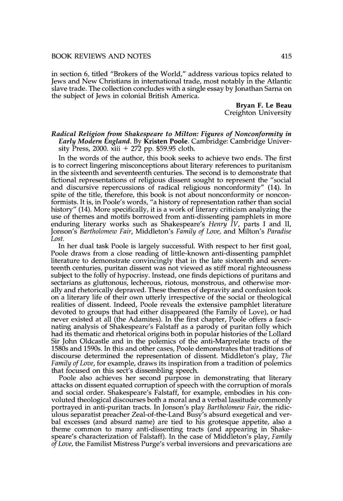**in section 6, titled "Brokers of the World," address various topics related to Jews and New Christians in international trade, most notably in the Atlantic slave trade. The collection concludes with a single essay by Jonathan Sarna on the subject of Jews in colonial British America.** 

> **Bryan F. Le Beau Creighton University**

**Radical Religion from Shakespeare to Milton: Figures of Nonconformity in Early Modern England. By Kristen Poole. Cambridge: Cambridge University Press, 2000. xiii + 272 pp. \$59.95 cloth.** 

**In the words of the author, this book seeks to achieve two ends. The first is to correct lingering misconceptions about literary references to puritanism in the sixteenth and seventeenth centuries. The second is to demonstrate that fictional representations of religious dissent sought to represent the "social and discursive repercussions of radical religious nonconformity" (14). In spite of the title, therefore, this book is not about nonconformity or nonconformists. It is, in Poole's words, "a history of representation rather than social history" (14). More specifically, it is a work of literary criticism analyzing the use of themes and motifs borrowed from anti-dissenting pamphlets in more enduring literary works such as Shakespeare's Henry IV, parts I and II, Jonson's Bartholomew Fair, Middleton's Family of Love, and Milton's Paradise Lost.** 

**In her dual task Poole is largely successful. With respect to her first goal, Poole draws from a close reading of little-known anti-dissenting pamphlet literature to demonstrate convincingly that in the late sixteenth and seventeenth centuries, puritan dissent was not viewed as stiff moral righteousness subject to the folly of hypocrisy. Instead, one finds depictions of puritans and sectarians as gluttonous, lecherous, riotous, monstrous, and otherwise morally and rhetorically depraved. These themes of depravity and confusion took on a literary life of their own utterly irrespective of the social or theological realities of dissent. Indeed, Poole reveals the extensive pamphlet literature devoted to groups that had either disappeared (the Family of Love), or had never existed at all (the Adamites). In the first chapter, Poole offers a fascinating analysis of Shakespeare's Falstaff as a parody of puritan folly which had its thematic and rhetorical origins both in popular histories of the Lollard Sir John Oldcastle and in the polemics of the anti-Marprelate tracts of the 1580s and 1590s. In this and other cases, Poole demonstrates that traditions of discourse determined the representation of dissent. Middleton's play, The Family of Love, for example, draws its inspiration from a tradition of polemics that focused on this sect's dissembling speech.** 

**Poole also achieves her second purpose in demonstrating that literary attacks on dissent equated corruption of speech with the corruption of morals and social order. Shakespeare's Falstaff, for example, embodies in his convoluted theological discourses both a moral and a verbal lassitude commonly portrayed in anti-puritan tracts. In Jonson's play Bartholomew Fair, the ridiculous separatist preacher Zeal-of-the-Land Busy's absurd exegetical and verbal excesses (and absurd name) are tied to his grotesque appetite, also a theme common to many anti-dissenting tracts (and appearing in Shakespeare's characterization of Falstaff). In the case of Middleton's play, Family of Love, the Familist Mistress Purge's verbal inversions and prevarications are**